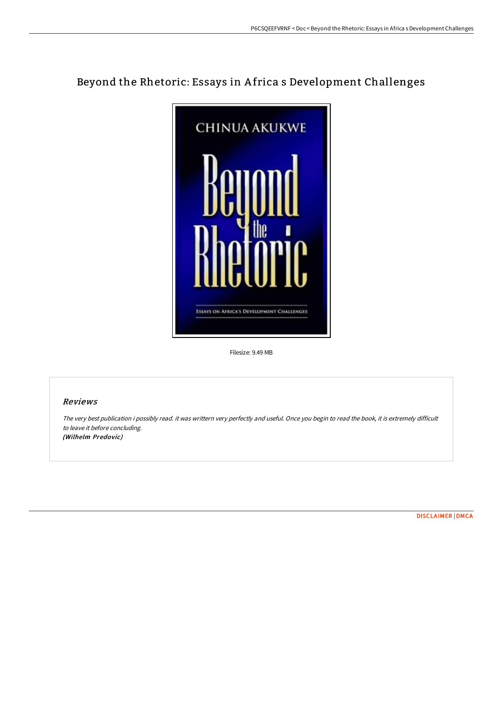# Beyond the Rhetoric: Essays in A frica s Development Challenges



Filesize: 9.49 MB

## Reviews

The very best publication i possibly read. it was writtern very perfectly and useful. Once you begin to read the book, it is extremely difficult to leave it before concluding. (Wilhelm Predovic)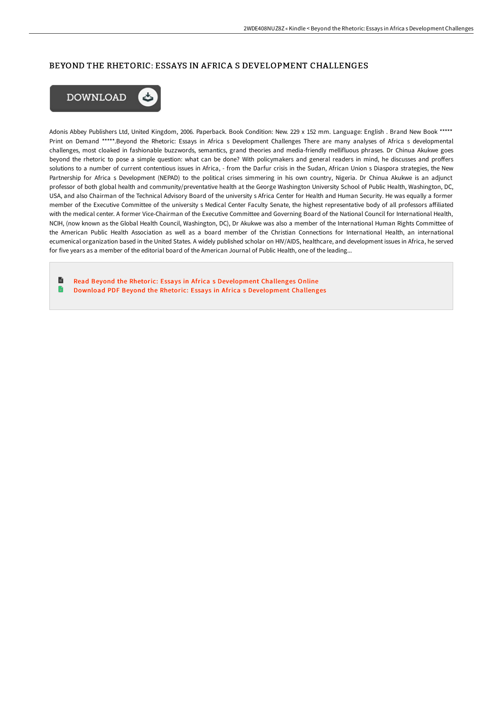### BEYOND THE RHETORIC: ESSAYS IN AFRICA S DEVELOPMENT CHALLENGES



Adonis Abbey Publishers Ltd, United Kingdom, 2006. Paperback. Book Condition: New. 229 x 152 mm. Language: English . Brand New Book \*\*\*\*\* Print on Demand \*\*\*\*\*.Beyond the Rhetoric: Essays in Africa s Development Challenges There are many analyses of Africa s developmental challenges, most cloaked in fashionable buzzwords, semantics, grand theories and media-friendly mellifluous phrases. Dr Chinua Akukwe goes beyond the rhetoric to pose a simple question: what can be done? With policymakers and general readers in mind, he discusses and proffers solutions to a number of current contentious issues in Africa, - from the Darfur crisis in the Sudan, African Union s Diaspora strategies, the New Partnership for Africa s Development (NEPAD) to the political crises simmering in his own country, Nigeria. Dr Chinua Akukwe is an adjunct professor of both global health and community/preventative health at the George Washington University School of Public Health, Washington, DC, USA, and also Chairman of the Technical Advisory Board of the university s Africa Center for Health and Human Security. He was equally a former member of the Executive Committee of the university s Medical Center Faculty Senate, the highest representative body of all professors affiliated with the medical center. A former Vice-Chairman of the Executive Committee and Governing Board of the National Council for International Health, NCIH, (now known as the Global Health Council, Washington, DC), Dr Akukwe was also a member of the International Human Rights Committee of the American Public Health Association as well as a board member of the Christian Connections for International Health, an international ecumenical organization based in the United States. A widely published scholar on HIV/AIDS, healthcare, and development issues in Africa, he served for five years as a member of the editorial board of the American Journal of Public Health, one of the leading...

h Read Beyond the Rhetoric: Essays in Africa s [Development](http://albedo.media/beyond-the-rhetoric-essays-in-africa-s-developme.html) Challenges Online Download PDF Beyond the Rhetoric: Essays in Africa s [Development](http://albedo.media/beyond-the-rhetoric-essays-in-africa-s-developme.html) Challenges